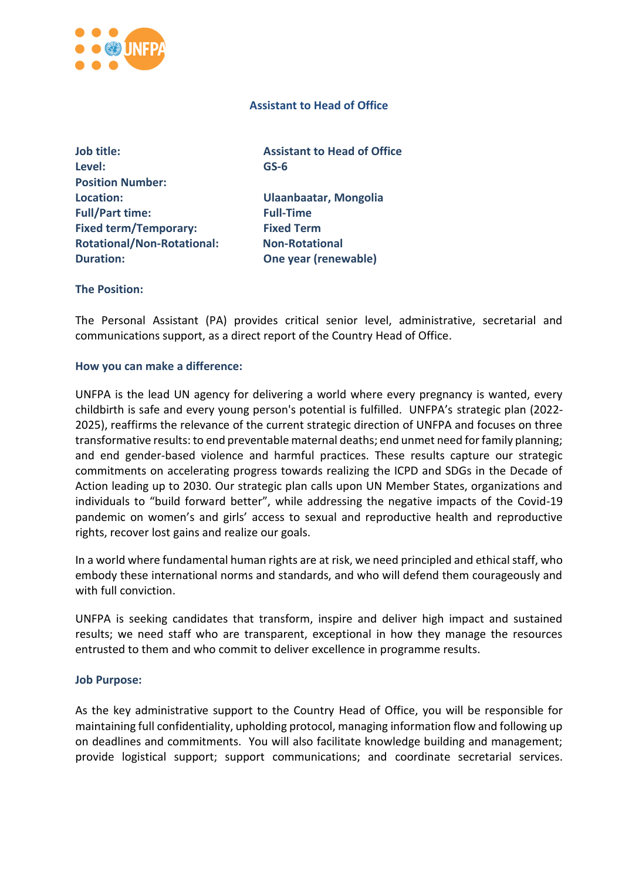

## **Assistant to Head of Office**

**Job title:** Assistant to **Head of Office Level: GS-6 Position Number: Location: Ulaanbaatar, Mongolia Full/Part time: Full-Time Fixed term/Temporary: Fixed Term Rotational/Non-Rotational: Non-Rotational Duration: One year (renewable)**

# **The Position:**

The Personal Assistant (PA) provides critical senior level, administrative, secretarial and communications support, as a direct report of the Country Head of Office.

### **How you can make a difference:**

UNFPA is the lead UN agency for delivering a world where every pregnancy is wanted, every childbirth is safe and every young person's potential is fulfilled. UNFPA's strategic plan (2022- 2025), reaffirms the relevance of the current strategic direction of UNFPA and focuses on three transformative results: to end preventable maternal deaths; end unmet need for family planning; and end gender-based violence and harmful practices. These results capture our strategic commitments on accelerating progress towards realizing the ICPD and SDGs in the Decade of Action leading up to 2030. Our strategic plan calls upon UN Member States, organizations and individuals to "build forward better", while addressing the negative impacts of the Covid-19 pandemic on women's and girls' access to sexual and reproductive health and reproductive rights, recover lost gains and realize our goals.

In a world where fundamental human rights are at risk, we need principled and ethical staff, who embody these international norms and standards, and who will defend them courageously and with full conviction.

UNFPA is seeking candidates that transform, inspire and deliver high impact and sustained results; we need staff who are transparent, exceptional in how they manage the resources entrusted to them and who commit to deliver excellence in programme results.

#### **Job Purpose:**

As the key administrative support to the Country Head of Office, you will be responsible for maintaining full confidentiality, upholding protocol, managing information flow and following up on deadlines and commitments. You will also facilitate knowledge building and management; provide logistical support; support communications; and coordinate secretarial services.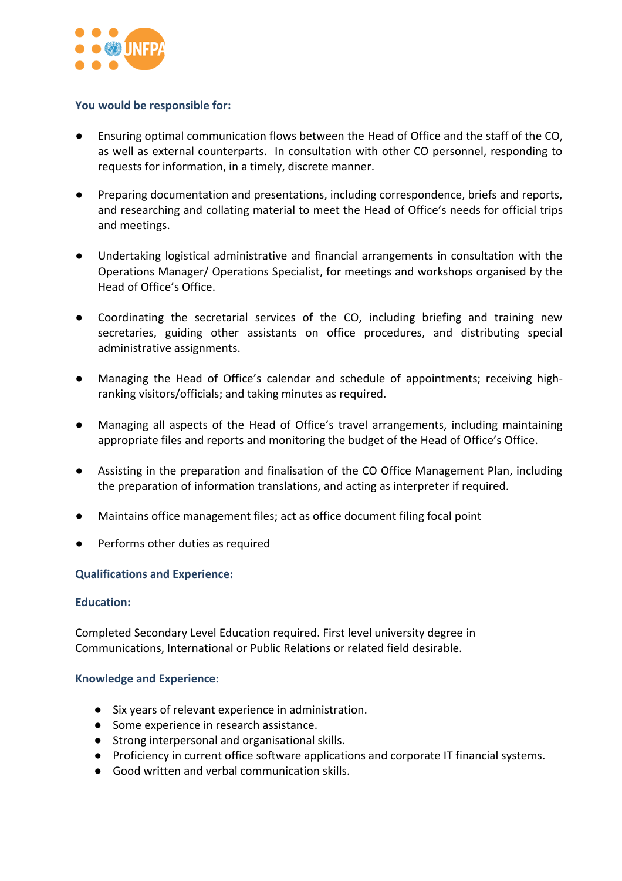

## **You would be responsible for:**

- Ensuring optimal communication flows between the Head of Office and the staff of the CO, as well as external counterparts. In consultation with other CO personnel, responding to requests for information, in a timely, discrete manner.
- Preparing documentation and presentations, including correspondence, briefs and reports, and researching and collating material to meet the Head of Office's needs for official trips and meetings.
- Undertaking logistical administrative and financial arrangements in consultation with the Operations Manager/ Operations Specialist, for meetings and workshops organised by the Head of Office's Office.
- Coordinating the secretarial services of the CO, including briefing and training new secretaries, guiding other assistants on office procedures, and distributing special administrative assignments.
- Managing the Head of Office's calendar and schedule of appointments; receiving highranking visitors/officials; and taking minutes as required.
- Managing all aspects of the Head of Office's travel arrangements, including maintaining appropriate files and reports and monitoring the budget of the Head of Office's Office.
- Assisting in the preparation and finalisation of the CO Office Management Plan, including the preparation of information translations, and acting as interpreter if required.
- Maintains office management files; act as office document filing focal point
- Performs other duties as required

# **Qualifications and Experience:**

#### **Education:**

Completed Secondary Level Education required. First level university degree in Communications, International or Public Relations or related field desirable.

### **Knowledge and Experience:**

- Six years of relevant experience in administration.
- Some experience in research assistance.
- Strong interpersonal and organisational skills.
- Proficiency in current office software applications and corporate IT financial systems.
- Good written and verbal communication skills.